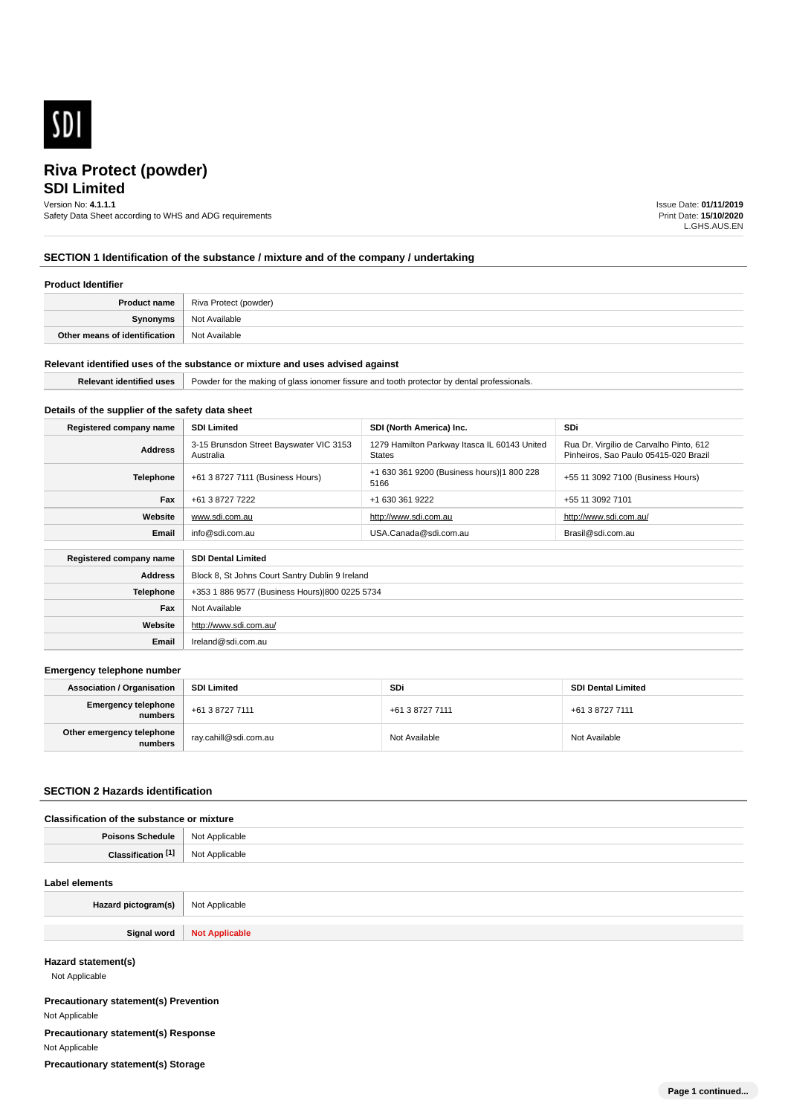

# **SDI Limited**

Version No: **4.1.1.1**

Safety Data Sheet according to WHS and ADG requirements

Issue Date: **01/11/2019** Print Date: **15/10/2020** L.GHS.AUS.EN

# **SECTION 1 Identification of the substance / mixture and of the company / undertaking**

### **Product Identifier**

| Product name                  | Riva Protect (powder) |
|-------------------------------|-----------------------|
| Synonyms                      | Not Available         |
| Other means of identification | Not Available         |

#### **Relevant identified uses of the substance or mixture and uses advised against**

**Email** Ireland@sdi.com.au

| .<br>uses<br>ĸe | Powder<br>sionals.<br>' fissure<br>,,,,<br>TD.<br>$\ddot{\phantom{0}}$<br>≅ionome<br>protector<br>anc<br>KING<br>.<br>- - |
|-----------------|---------------------------------------------------------------------------------------------------------------------------|

#### **Details of the supplier of the safety data sheet**

| Registered company name                              | <b>SDI Limited</b>                                   | SDI (North America) Inc.                                      | <b>SDi</b>                                                                       |
|------------------------------------------------------|------------------------------------------------------|---------------------------------------------------------------|----------------------------------------------------------------------------------|
| <b>Address</b>                                       | 3-15 Brunsdon Street Bayswater VIC 3153<br>Australia | 1279 Hamilton Parkway Itasca IL 60143 United<br><b>States</b> | Rua Dr. Virgílio de Carvalho Pinto, 612<br>Pinheiros, Sao Paulo 05415-020 Brazil |
| <b>Telephone</b>                                     | +61 3 8727 7111 (Business Hours)                     | +1 630 361 9200 (Business hours) 1 800 228<br>5166            | +55 11 3092 7100 (Business Hours)                                                |
| Fax                                                  | +61 3 8727 7222                                      | +1 630 361 9222                                               | +55 11 3092 7101                                                                 |
| Website                                              | www.sdi.com.au                                       | http://www.sdi.com.au                                         | http://www.sdi.com.au/                                                           |
| Email                                                | info@sdi.com.au                                      | USA.Canada@sdi.com.au                                         | Brasil@sdi.com.au                                                                |
| <b>SDI Dental Limited</b><br>Registered company name |                                                      |                                                               |                                                                                  |
| <b>Address</b>                                       | Block 8, St Johns Court Santry Dublin 9 Ireland      |                                                               |                                                                                  |
| <b>Telephone</b>                                     | +353 1 886 9577 (Business Hours) 800 0225 5734       |                                                               |                                                                                  |
| Fax                                                  | Not Available                                        |                                                               |                                                                                  |
| Website                                              | http://www.sdi.com.au/                               |                                                               |                                                                                  |

#### **Emergency telephone number**

| <b>Association / Organisation</b>    | <b>SDI Limited</b>      | SDi             | <b>SDI Dental Limited</b> |
|--------------------------------------|-------------------------|-----------------|---------------------------|
| Emergency telephone<br>numbers       | +61 3 8727 7111         | +61 3 8727 7111 | +61 3 8727 7111           |
| Other emergency telephone<br>numbers | ` ray.cahill@sdi.com.au | Not Available   | Not Available             |

#### **SECTION 2 Hazards identification**

#### **Classification of the substance or mixture**

| Daice | licable                                                  |
|-------|----------------------------------------------------------|
| 1ule  | <b>N<sub>IO</sub></b>                                    |
| .     | ∩ahlo<br>.<br>the contract of the contract of the<br>. . |

#### **Label elements**

| Hazard pictogram(s) | Not Applicable        |
|---------------------|-----------------------|
|                     |                       |
| Signal word<br>---- | <b>ITOL Applicant</b> |

#### **Hazard statement(s)**

Not Applicable

**Precautionary statement(s) Prevention** Not Applicable **Precautionary statement(s) Response** Not Applicable **Precautionary statement(s) Storage**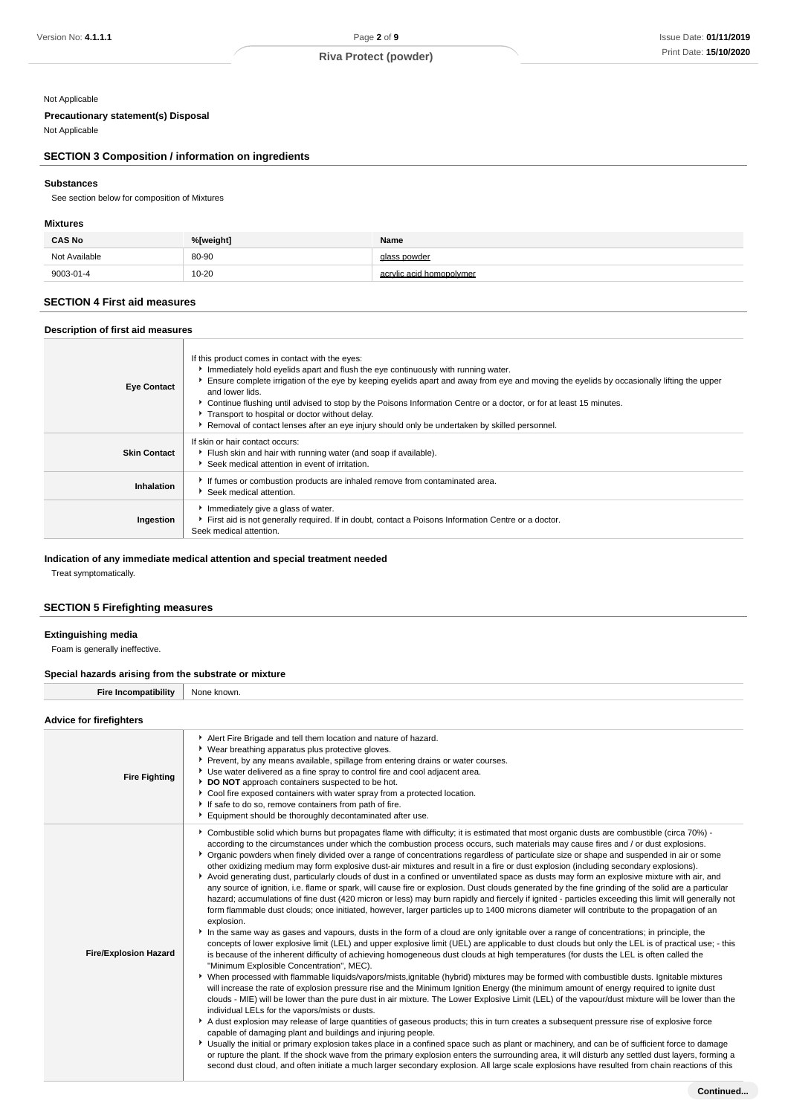### Not Applicable

# **Precautionary statement(s) Disposal**

Not Applicable

# **SECTION 3 Composition / information on ingredients**

# **Substances**

See section below for composition of Mixtures

## **Mixtures**

| <b>CAS No</b> | %[weight] | Name                     |
|---------------|-----------|--------------------------|
| Not Available | 80-90     | glass powder             |
| 9003-01-4     | $10 - 20$ | acrylic acid homopolymer |

## **SECTION 4 First aid measures**

#### **Description of first aid measures**

| <b>Eye Contact</b>  | If this product comes in contact with the eyes:<br>Immediately hold eyelids apart and flush the eye continuously with running water.<br>Ensure complete irrigation of the eye by keeping eyelids apart and away from eye and moving the eyelids by occasionally lifting the upper<br>and lower lids.<br>► Continue flushing until advised to stop by the Poisons Information Centre or a doctor, or for at least 15 minutes.<br>Transport to hospital or doctor without delay.<br>▶ Removal of contact lenses after an eye injury should only be undertaken by skilled personnel. |
|---------------------|-----------------------------------------------------------------------------------------------------------------------------------------------------------------------------------------------------------------------------------------------------------------------------------------------------------------------------------------------------------------------------------------------------------------------------------------------------------------------------------------------------------------------------------------------------------------------------------|
| <b>Skin Contact</b> | If skin or hair contact occurs:<br>Flush skin and hair with running water (and soap if available).<br>Seek medical attention in event of irritation.                                                                                                                                                                                                                                                                                                                                                                                                                              |
| Inhalation          | If fumes or combustion products are inhaled remove from contaminated area.<br>▶ Seek medical attention.                                                                                                                                                                                                                                                                                                                                                                                                                                                                           |
| Ingestion           | Immediately give a glass of water.<br>First aid is not generally required. If in doubt, contact a Poisons Information Centre or a doctor.<br>Seek medical attention.                                                                                                                                                                                                                                                                                                                                                                                                              |

### **Indication of any immediate medical attention and special treatment needed**

Treat symptomatically.

# **SECTION 5 Firefighting measures**

#### **Extinguishing media**

Foam is generally ineffective.

# **Special hazards arising from the substrate or mixture**

**Fire Incompatibility** None known.

# **Advice for firefighters**

| <b>AUVILE IUI IIIEIIUIIIEI S</b> |                                                                                                                                                                                                                                                                                                                                                                                                                                                                                                                                                                                                                                                                                                                                                                                                                                                                                                                                                                                                                                                                                                                                                                                                                                                                                                                                                                                                                                                                                                                                                                                                                                                                                                                                                                                                                                                                                                                                                                                                                                                                                                                                                                                                                                                                                                                                                                                                                                                                                                                                                                                                                                                                                                                                                                                                                                                               |
|----------------------------------|---------------------------------------------------------------------------------------------------------------------------------------------------------------------------------------------------------------------------------------------------------------------------------------------------------------------------------------------------------------------------------------------------------------------------------------------------------------------------------------------------------------------------------------------------------------------------------------------------------------------------------------------------------------------------------------------------------------------------------------------------------------------------------------------------------------------------------------------------------------------------------------------------------------------------------------------------------------------------------------------------------------------------------------------------------------------------------------------------------------------------------------------------------------------------------------------------------------------------------------------------------------------------------------------------------------------------------------------------------------------------------------------------------------------------------------------------------------------------------------------------------------------------------------------------------------------------------------------------------------------------------------------------------------------------------------------------------------------------------------------------------------------------------------------------------------------------------------------------------------------------------------------------------------------------------------------------------------------------------------------------------------------------------------------------------------------------------------------------------------------------------------------------------------------------------------------------------------------------------------------------------------------------------------------------------------------------------------------------------------------------------------------------------------------------------------------------------------------------------------------------------------------------------------------------------------------------------------------------------------------------------------------------------------------------------------------------------------------------------------------------------------------------------------------------------------------------------------------------------------|
| <b>Fire Fighting</b>             | Alert Fire Brigade and tell them location and nature of hazard.<br>▶ Wear breathing apparatus plus protective gloves.<br>▶ Prevent, by any means available, spillage from entering drains or water courses.<br>▶ Use water delivered as a fine spray to control fire and cool adjacent area.<br>DO NOT approach containers suspected to be hot.<br>Cool fire exposed containers with water spray from a protected location.<br>If safe to do so, remove containers from path of fire.<br>Equipment should be thoroughly decontaminated after use.                                                                                                                                                                                                                                                                                                                                                                                                                                                                                                                                                                                                                                                                                                                                                                                                                                                                                                                                                                                                                                                                                                                                                                                                                                                                                                                                                                                                                                                                                                                                                                                                                                                                                                                                                                                                                                                                                                                                                                                                                                                                                                                                                                                                                                                                                                             |
| <b>Fire/Explosion Hazard</b>     | ▶ Combustible solid which burns but propagates flame with difficulty; it is estimated that most organic dusts are combustible (circa 70%) -<br>according to the circumstances under which the combustion process occurs, such materials may cause fires and / or dust explosions.<br>▶ Organic powders when finely divided over a range of concentrations regardless of particulate size or shape and suspended in air or some<br>other oxidizing medium may form explosive dust-air mixtures and result in a fire or dust explosion (including secondary explosions).<br>Avoid generating dust, particularly clouds of dust in a confined or unventilated space as dusts may form an explosive mixture with air, and<br>any source of ignition, i.e. flame or spark, will cause fire or explosion. Dust clouds generated by the fine grinding of the solid are a particular<br>hazard; accumulations of fine dust (420 micron or less) may burn rapidly and fiercely if ignited - particles exceeding this limit will generally not<br>form flammable dust clouds; once initiated, however, larger particles up to 1400 microns diameter will contribute to the propagation of an<br>explosion.<br>In the same way as gases and vapours, dusts in the form of a cloud are only ignitable over a range of concentrations; in principle, the<br>concepts of lower explosive limit (LEL) and upper explosive limit (UEL) are applicable to dust clouds but only the LEL is of practical use; - this<br>is because of the inherent difficulty of achieving homogeneous dust clouds at high temperatures (for dusts the LEL is often called the<br>"Minimum Explosible Concentration", MEC).<br>▶ When processed with flammable liquids/vapors/mists,ignitable (hybrid) mixtures may be formed with combustible dusts. Ignitable mixtures<br>will increase the rate of explosion pressure rise and the Minimum Ignition Energy (the minimum amount of energy required to ignite dust<br>clouds - MIE) will be lower than the pure dust in air mixture. The Lower Explosive Limit (LEL) of the vapour/dust mixture will be lower than the<br>individual LELs for the vapors/mists or dusts.<br>A dust explosion may release of large quantities of gaseous products; this in turn creates a subsequent pressure rise of explosive force<br>capable of damaging plant and buildings and injuring people.<br>▶ Usually the initial or primary explosion takes place in a confined space such as plant or machinery, and can be of sufficient force to damage<br>or rupture the plant. If the shock wave from the primary explosion enters the surrounding area, it will disturb any settled dust layers, forming a<br>second dust cloud, and often initiate a much larger secondary explosion. All large scale explosions have resulted from chain reactions of this |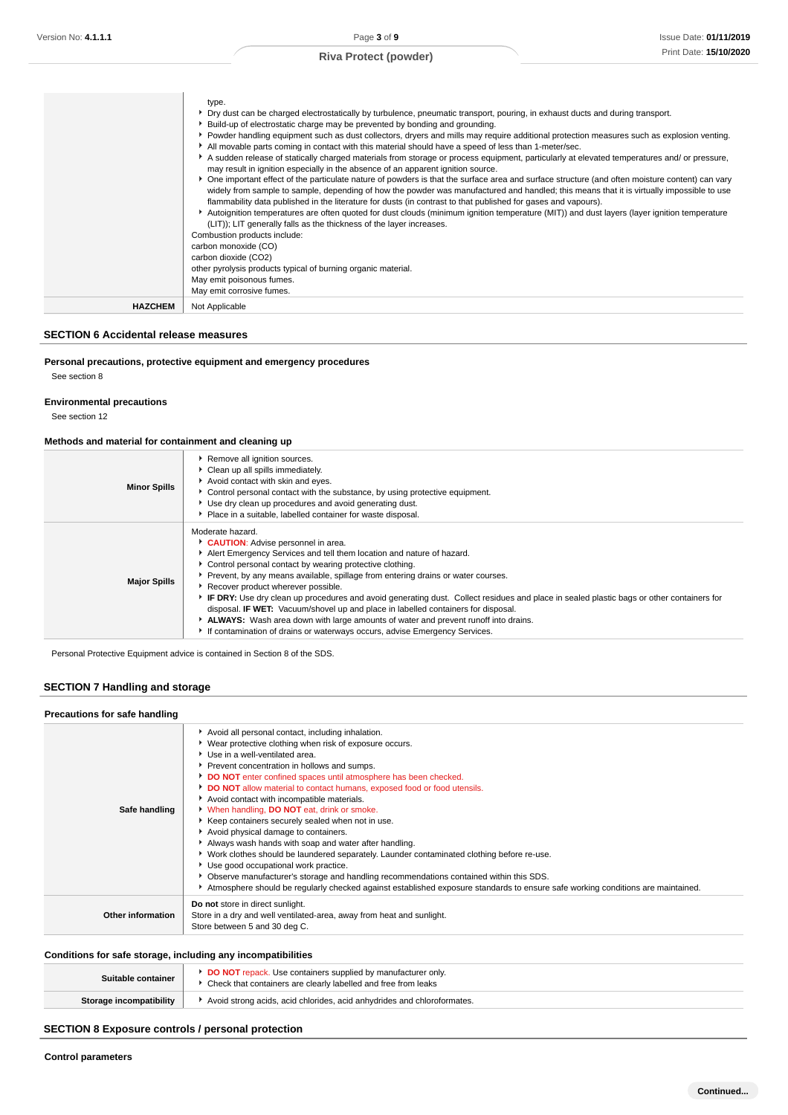|                | type.<br>▶ Dry dust can be charged electrostatically by turbulence, pneumatic transport, pouring, in exhaust ducts and during transport.<br>► Build-up of electrostatic charge may be prevented by bonding and grounding.                                                                                                                                                                                       |
|----------------|-----------------------------------------------------------------------------------------------------------------------------------------------------------------------------------------------------------------------------------------------------------------------------------------------------------------------------------------------------------------------------------------------------------------|
|                | ▶ Powder handling equipment such as dust collectors, dryers and mills may require additional protection measures such as explosion venting.<br>All movable parts coming in contact with this material should have a speed of less than 1-meter/sec.                                                                                                                                                             |
|                | A sudden release of statically charged materials from storage or process equipment, particularly at elevated temperatures and/ or pressure,<br>may result in ignition especially in the absence of an apparent ignition source.                                                                                                                                                                                 |
|                | ▶ One important effect of the particulate nature of powders is that the surface area and surface structure (and often moisture content) can vary<br>widely from sample to sample, depending of how the powder was manufactured and handled; this means that it is virtually impossible to use<br>flammability data published in the literature for dusts (in contrast to that published for gases and vapours). |
|                | Autoignition temperatures are often quoted for dust clouds (minimum ignition temperature (MIT)) and dust layers (layer ignition temperature<br>(LIT)); LIT generally falls as the thickness of the layer increases.                                                                                                                                                                                             |
|                | Combustion products include:                                                                                                                                                                                                                                                                                                                                                                                    |
|                | carbon monoxide (CO)                                                                                                                                                                                                                                                                                                                                                                                            |
|                | carbon dioxide (CO2)<br>other pyrolysis products typical of burning organic material.                                                                                                                                                                                                                                                                                                                           |
|                | May emit poisonous fumes.                                                                                                                                                                                                                                                                                                                                                                                       |
|                | May emit corrosive fumes.                                                                                                                                                                                                                                                                                                                                                                                       |
| <b>HAZCHEM</b> | Not Applicable                                                                                                                                                                                                                                                                                                                                                                                                  |

#### **SECTION 6 Accidental release measures**

# **Personal precautions, protective equipment and emergency procedures**

See section 8

#### **Environmental precautions**

See section 12

### **Methods and material for containment and cleaning up**

| <b>Minor Spills</b> | Remove all ignition sources.<br>Clean up all spills immediately.<br>Avoid contact with skin and eyes.<br>► Control personal contact with the substance, by using protective equipment.<br>Use dry clean up procedures and avoid generating dust.<br>Place in a suitable, labelled container for waste disposal.                                                                                                                                                                                                                                                                                                                                                                                                                     |
|---------------------|-------------------------------------------------------------------------------------------------------------------------------------------------------------------------------------------------------------------------------------------------------------------------------------------------------------------------------------------------------------------------------------------------------------------------------------------------------------------------------------------------------------------------------------------------------------------------------------------------------------------------------------------------------------------------------------------------------------------------------------|
| <b>Major Spills</b> | Moderate hazard.<br>CAUTION: Advise personnel in area.<br>Alert Emergency Services and tell them location and nature of hazard.<br>• Control personal contact by wearing protective clothing.<br>Prevent, by any means available, spillage from entering drains or water courses.<br>Recover product wherever possible.<br>IF DRY: Use dry clean up procedures and avoid generating dust. Collect residues and place in sealed plastic bags or other containers for<br>disposal. <b>IF WET:</b> Vacuum/shovel up and place in labelled containers for disposal.<br>ALWAYS: Wash area down with large amounts of water and prevent runoff into drains.<br>If contamination of drains or waterways occurs, advise Emergency Services. |

Personal Protective Equipment advice is contained in Section 8 of the SDS.

### **SECTION 7 Handling and storage**

#### **Precautions for safe handling**

| Safe handling            | Avoid all personal contact, including inhalation.<br>▶ Wear protective clothing when risk of exposure occurs.<br>Use in a well-ventilated area.<br>Prevent concentration in hollows and sumps.<br>DO NOT enter confined spaces until atmosphere has been checked.<br>DO NOT allow material to contact humans, exposed food or food utensils.<br>Avoid contact with incompatible materials.<br>When handling, DO NOT eat, drink or smoke.<br>▶ Keep containers securely sealed when not in use.<br>Avoid physical damage to containers.<br>Always wash hands with soap and water after handling.<br>▶ Work clothes should be laundered separately. Launder contaminated clothing before re-use.<br>Use good occupational work practice.<br>▶ Observe manufacturer's storage and handling recommendations contained within this SDS.<br>Atmosphere should be reqularly checked against established exposure standards to ensure safe working conditions are maintained. |
|--------------------------|-----------------------------------------------------------------------------------------------------------------------------------------------------------------------------------------------------------------------------------------------------------------------------------------------------------------------------------------------------------------------------------------------------------------------------------------------------------------------------------------------------------------------------------------------------------------------------------------------------------------------------------------------------------------------------------------------------------------------------------------------------------------------------------------------------------------------------------------------------------------------------------------------------------------------------------------------------------------------|
| <b>Other information</b> | Do not store in direct sunlight.<br>Store in a dry and well ventilated-area, away from heat and sunlight.<br>Store between 5 and 30 deg C.                                                                                                                                                                                                                                                                                                                                                                                                                                                                                                                                                                                                                                                                                                                                                                                                                            |

#### **Conditions for safe storage, including any incompatibilities**

| Suitable container      | <b>DO NOT</b> repack. Use containers supplied by manufacturer only.<br>Check that containers are clearly labelled and free from leaks |
|-------------------------|---------------------------------------------------------------------------------------------------------------------------------------|
| Storage incompatibility | Avoid strong acids, acid chlorides, acid anhydrides and chloroformates.                                                               |

### **SECTION 8 Exposure controls / personal protection**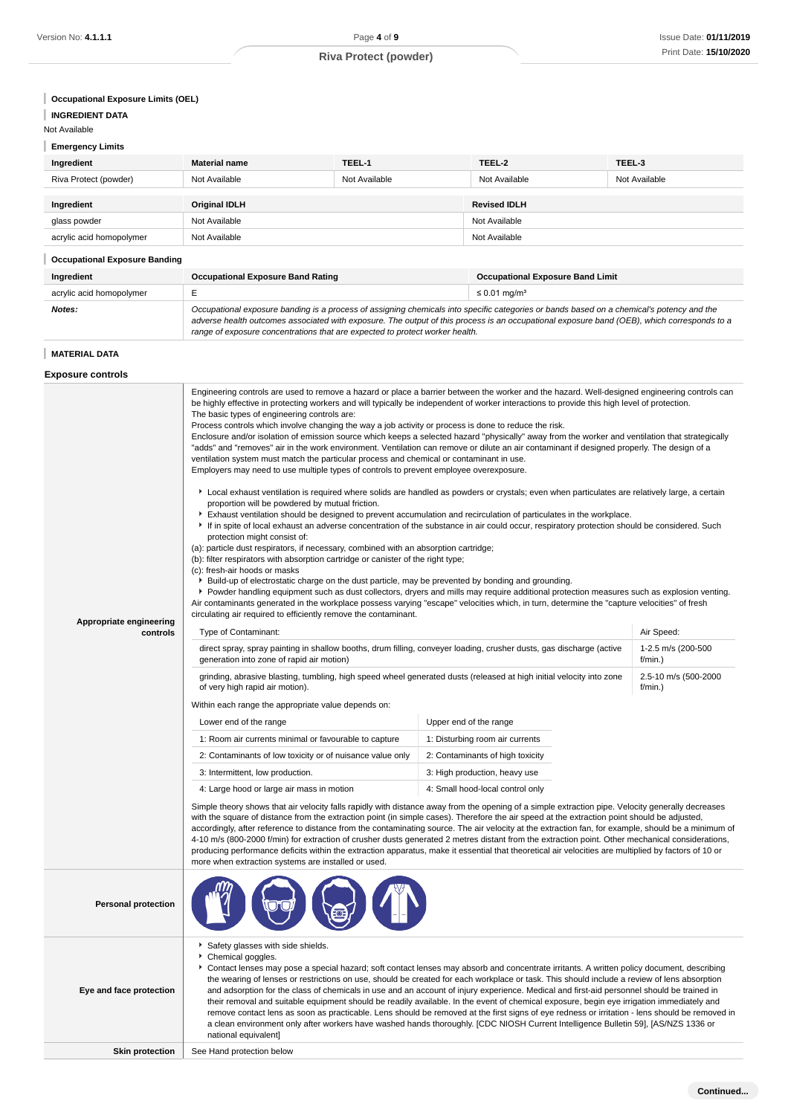| <b>Emergency Limits</b>              |                                                                                                                                                                                                                                                                                                                                                                                                                                                                                                                                                                                                                                                                                                                                                                                                                                                                                                                                                                                                                                                                                                                                                                                                                                                                                                                                                                                                                                                                                                                                                                                                                                                                                                                                                                                                                                                                                                                                                                                     |               |                                                                                                                                                                                                                                                                                                                                                                                                                                                                                                                                                                                                                                                                                                                                                                                                                                                                             |                                            |
|--------------------------------------|-------------------------------------------------------------------------------------------------------------------------------------------------------------------------------------------------------------------------------------------------------------------------------------------------------------------------------------------------------------------------------------------------------------------------------------------------------------------------------------------------------------------------------------------------------------------------------------------------------------------------------------------------------------------------------------------------------------------------------------------------------------------------------------------------------------------------------------------------------------------------------------------------------------------------------------------------------------------------------------------------------------------------------------------------------------------------------------------------------------------------------------------------------------------------------------------------------------------------------------------------------------------------------------------------------------------------------------------------------------------------------------------------------------------------------------------------------------------------------------------------------------------------------------------------------------------------------------------------------------------------------------------------------------------------------------------------------------------------------------------------------------------------------------------------------------------------------------------------------------------------------------------------------------------------------------------------------------------------------------|---------------|-----------------------------------------------------------------------------------------------------------------------------------------------------------------------------------------------------------------------------------------------------------------------------------------------------------------------------------------------------------------------------------------------------------------------------------------------------------------------------------------------------------------------------------------------------------------------------------------------------------------------------------------------------------------------------------------------------------------------------------------------------------------------------------------------------------------------------------------------------------------------------|--------------------------------------------|
| Ingredient                           | <b>Material name</b>                                                                                                                                                                                                                                                                                                                                                                                                                                                                                                                                                                                                                                                                                                                                                                                                                                                                                                                                                                                                                                                                                                                                                                                                                                                                                                                                                                                                                                                                                                                                                                                                                                                                                                                                                                                                                                                                                                                                                                | TEEL-1        | TEEL-2                                                                                                                                                                                                                                                                                                                                                                                                                                                                                                                                                                                                                                                                                                                                                                                                                                                                      | TEEL-3                                     |
| Riva Protect (powder)                | Not Available                                                                                                                                                                                                                                                                                                                                                                                                                                                                                                                                                                                                                                                                                                                                                                                                                                                                                                                                                                                                                                                                                                                                                                                                                                                                                                                                                                                                                                                                                                                                                                                                                                                                                                                                                                                                                                                                                                                                                                       | Not Available | Not Available                                                                                                                                                                                                                                                                                                                                                                                                                                                                                                                                                                                                                                                                                                                                                                                                                                                               | Not Available                              |
| Ingredient                           | Original IDLH                                                                                                                                                                                                                                                                                                                                                                                                                                                                                                                                                                                                                                                                                                                                                                                                                                                                                                                                                                                                                                                                                                                                                                                                                                                                                                                                                                                                                                                                                                                                                                                                                                                                                                                                                                                                                                                                                                                                                                       |               | <b>Revised IDLH</b>                                                                                                                                                                                                                                                                                                                                                                                                                                                                                                                                                                                                                                                                                                                                                                                                                                                         |                                            |
| glass powder                         | Not Available                                                                                                                                                                                                                                                                                                                                                                                                                                                                                                                                                                                                                                                                                                                                                                                                                                                                                                                                                                                                                                                                                                                                                                                                                                                                                                                                                                                                                                                                                                                                                                                                                                                                                                                                                                                                                                                                                                                                                                       |               | Not Available                                                                                                                                                                                                                                                                                                                                                                                                                                                                                                                                                                                                                                                                                                                                                                                                                                                               |                                            |
| acrylic acid homopolymer             | Not Available                                                                                                                                                                                                                                                                                                                                                                                                                                                                                                                                                                                                                                                                                                                                                                                                                                                                                                                                                                                                                                                                                                                                                                                                                                                                                                                                                                                                                                                                                                                                                                                                                                                                                                                                                                                                                                                                                                                                                                       |               | Not Available                                                                                                                                                                                                                                                                                                                                                                                                                                                                                                                                                                                                                                                                                                                                                                                                                                                               |                                            |
| <b>Occupational Exposure Banding</b> |                                                                                                                                                                                                                                                                                                                                                                                                                                                                                                                                                                                                                                                                                                                                                                                                                                                                                                                                                                                                                                                                                                                                                                                                                                                                                                                                                                                                                                                                                                                                                                                                                                                                                                                                                                                                                                                                                                                                                                                     |               |                                                                                                                                                                                                                                                                                                                                                                                                                                                                                                                                                                                                                                                                                                                                                                                                                                                                             |                                            |
| Ingredient                           | <b>Occupational Exposure Band Rating</b>                                                                                                                                                                                                                                                                                                                                                                                                                                                                                                                                                                                                                                                                                                                                                                                                                                                                                                                                                                                                                                                                                                                                                                                                                                                                                                                                                                                                                                                                                                                                                                                                                                                                                                                                                                                                                                                                                                                                            |               | <b>Occupational Exposure Band Limit</b>                                                                                                                                                                                                                                                                                                                                                                                                                                                                                                                                                                                                                                                                                                                                                                                                                                     |                                            |
| acrylic acid homopolymer             | E                                                                                                                                                                                                                                                                                                                                                                                                                                                                                                                                                                                                                                                                                                                                                                                                                                                                                                                                                                                                                                                                                                                                                                                                                                                                                                                                                                                                                                                                                                                                                                                                                                                                                                                                                                                                                                                                                                                                                                                   |               | $\leq$ 0.01 mg/m <sup>3</sup>                                                                                                                                                                                                                                                                                                                                                                                                                                                                                                                                                                                                                                                                                                                                                                                                                                               |                                            |
| Notes:                               | range of exposure concentrations that are expected to protect worker health.                                                                                                                                                                                                                                                                                                                                                                                                                                                                                                                                                                                                                                                                                                                                                                                                                                                                                                                                                                                                                                                                                                                                                                                                                                                                                                                                                                                                                                                                                                                                                                                                                                                                                                                                                                                                                                                                                                        |               | Occupational exposure banding is a process of assigning chemicals into specific categories or bands based on a chemical's potency and the<br>adverse health outcomes associated with exposure. The output of this process is an occupational exposure band (OEB), which corresponds to a                                                                                                                                                                                                                                                                                                                                                                                                                                                                                                                                                                                    |                                            |
| <b>MATERIAL DATA</b>                 |                                                                                                                                                                                                                                                                                                                                                                                                                                                                                                                                                                                                                                                                                                                                                                                                                                                                                                                                                                                                                                                                                                                                                                                                                                                                                                                                                                                                                                                                                                                                                                                                                                                                                                                                                                                                                                                                                                                                                                                     |               |                                                                                                                                                                                                                                                                                                                                                                                                                                                                                                                                                                                                                                                                                                                                                                                                                                                                             |                                            |
| <b>Exposure controls</b>             |                                                                                                                                                                                                                                                                                                                                                                                                                                                                                                                                                                                                                                                                                                                                                                                                                                                                                                                                                                                                                                                                                                                                                                                                                                                                                                                                                                                                                                                                                                                                                                                                                                                                                                                                                                                                                                                                                                                                                                                     |               |                                                                                                                                                                                                                                                                                                                                                                                                                                                                                                                                                                                                                                                                                                                                                                                                                                                                             |                                            |
| Appropriate engineering<br>controls  | "adds" and "removes" air in the work environment. Ventilation can remove or dilute an air contaminant if designed properly. The design of a<br>ventilation system must match the particular process and chemical or contaminant in use.<br>Employers may need to use multiple types of controls to prevent employee overexposure.<br>▶ Local exhaust ventilation is required where solids are handled as powders or crystals; even when particulates are relatively large, a certain<br>proportion will be powdered by mutual friction.<br>Exhaust ventilation should be designed to prevent accumulation and recirculation of particulates in the workplace.<br>If in spite of local exhaust an adverse concentration of the substance in air could occur, respiratory protection should be considered. Such<br>protection might consist of:<br>(a): particle dust respirators, if necessary, combined with an absorption cartridge;<br>(b): filter respirators with absorption cartridge or canister of the right type;<br>(c): fresh-air hoods or masks<br>Build-up of electrostatic charge on the dust particle, may be prevented by bonding and grounding.<br>▶ Powder handling equipment such as dust collectors, dryers and mills may require additional protection measures such as explosion venting.<br>Air contaminants generated in the workplace possess varying "escape" velocities which, in turn, determine the "capture velocities" of fresh<br>circulating air required to efficiently remove the contaminant.<br>Type of Contaminant:<br>Air Speed:<br>direct spray, spray painting in shallow booths, drum filling, conveyer loading, crusher dusts, gas discharge (active<br>generation into zone of rapid air motion)<br>f/min.)<br>grinding, abrasive blasting, tumbling, high speed wheel generated dusts (released at high initial velocity into zone<br>of very high rapid air motion).<br>f/min.)<br>Within each range the appropriate value depends on: |               |                                                                                                                                                                                                                                                                                                                                                                                                                                                                                                                                                                                                                                                                                                                                                                                                                                                                             | 1-2.5 m/s (200-500<br>2.5-10 m/s (500-2000 |
|                                      | Lower end of the range                                                                                                                                                                                                                                                                                                                                                                                                                                                                                                                                                                                                                                                                                                                                                                                                                                                                                                                                                                                                                                                                                                                                                                                                                                                                                                                                                                                                                                                                                                                                                                                                                                                                                                                                                                                                                                                                                                                                                              |               | Upper end of the range                                                                                                                                                                                                                                                                                                                                                                                                                                                                                                                                                                                                                                                                                                                                                                                                                                                      |                                            |
|                                      | 1: Room air currents minimal or favourable to capture                                                                                                                                                                                                                                                                                                                                                                                                                                                                                                                                                                                                                                                                                                                                                                                                                                                                                                                                                                                                                                                                                                                                                                                                                                                                                                                                                                                                                                                                                                                                                                                                                                                                                                                                                                                                                                                                                                                               |               | 1: Disturbing room air currents                                                                                                                                                                                                                                                                                                                                                                                                                                                                                                                                                                                                                                                                                                                                                                                                                                             |                                            |
|                                      | 2: Contaminants of low toxicity or of nuisance value only<br>3: Intermittent, low production.                                                                                                                                                                                                                                                                                                                                                                                                                                                                                                                                                                                                                                                                                                                                                                                                                                                                                                                                                                                                                                                                                                                                                                                                                                                                                                                                                                                                                                                                                                                                                                                                                                                                                                                                                                                                                                                                                       |               | 2: Contaminants of high toxicity                                                                                                                                                                                                                                                                                                                                                                                                                                                                                                                                                                                                                                                                                                                                                                                                                                            |                                            |
|                                      | 4: Large hood or large air mass in motion                                                                                                                                                                                                                                                                                                                                                                                                                                                                                                                                                                                                                                                                                                                                                                                                                                                                                                                                                                                                                                                                                                                                                                                                                                                                                                                                                                                                                                                                                                                                                                                                                                                                                                                                                                                                                                                                                                                                           |               | 3: High production, heavy use<br>4: Small hood-local control only                                                                                                                                                                                                                                                                                                                                                                                                                                                                                                                                                                                                                                                                                                                                                                                                           |                                            |
|                                      | more when extraction systems are installed or used.                                                                                                                                                                                                                                                                                                                                                                                                                                                                                                                                                                                                                                                                                                                                                                                                                                                                                                                                                                                                                                                                                                                                                                                                                                                                                                                                                                                                                                                                                                                                                                                                                                                                                                                                                                                                                                                                                                                                 |               | Simple theory shows that air velocity falls rapidly with distance away from the opening of a simple extraction pipe. Velocity generally decreases<br>with the square of distance from the extraction point (in simple cases). Therefore the air speed at the extraction point should be adjusted,<br>accordingly, after reference to distance from the contaminating source. The air velocity at the extraction fan, for example, should be a minimum of<br>4-10 m/s (800-2000 f/min) for extraction of crusher dusts generated 2 metres distant from the extraction point. Other mechanical considerations,<br>producing performance deficits within the extraction apparatus, make it essential that theoretical air velocities are multiplied by factors of 10 or                                                                                                        |                                            |
| <b>Personal protection</b>           |                                                                                                                                                                                                                                                                                                                                                                                                                                                                                                                                                                                                                                                                                                                                                                                                                                                                                                                                                                                                                                                                                                                                                                                                                                                                                                                                                                                                                                                                                                                                                                                                                                                                                                                                                                                                                                                                                                                                                                                     |               |                                                                                                                                                                                                                                                                                                                                                                                                                                                                                                                                                                                                                                                                                                                                                                                                                                                                             |                                            |
| Eye and face protection              | Safety glasses with side shields.<br>Chemical goggles.<br>national equivalent]                                                                                                                                                                                                                                                                                                                                                                                                                                                                                                                                                                                                                                                                                                                                                                                                                                                                                                                                                                                                                                                                                                                                                                                                                                                                                                                                                                                                                                                                                                                                                                                                                                                                                                                                                                                                                                                                                                      |               | Contact lenses may pose a special hazard; soft contact lenses may absorb and concentrate irritants. A written policy document, describing<br>the wearing of lenses or restrictions on use, should be created for each workplace or task. This should include a review of lens absorption<br>and adsorption for the class of chemicals in use and an account of injury experience. Medical and first-aid personnel should be trained in<br>their removal and suitable equipment should be readily available. In the event of chemical exposure, begin eye irrigation immediately and<br>remove contact lens as soon as practicable. Lens should be removed at the first signs of eye redness or irritation - lens should be removed in<br>a clean environment only after workers have washed hands thoroughly. [CDC NIOSH Current Intelligence Bulletin 59], [AS/NZS 1336 or |                                            |
|                                      | See Hand protection below                                                                                                                                                                                                                                                                                                                                                                                                                                                                                                                                                                                                                                                                                                                                                                                                                                                                                                                                                                                                                                                                                                                                                                                                                                                                                                                                                                                                                                                                                                                                                                                                                                                                                                                                                                                                                                                                                                                                                           |               |                                                                                                                                                                                                                                                                                                                                                                                                                                                                                                                                                                                                                                                                                                                                                                                                                                                                             |                                            |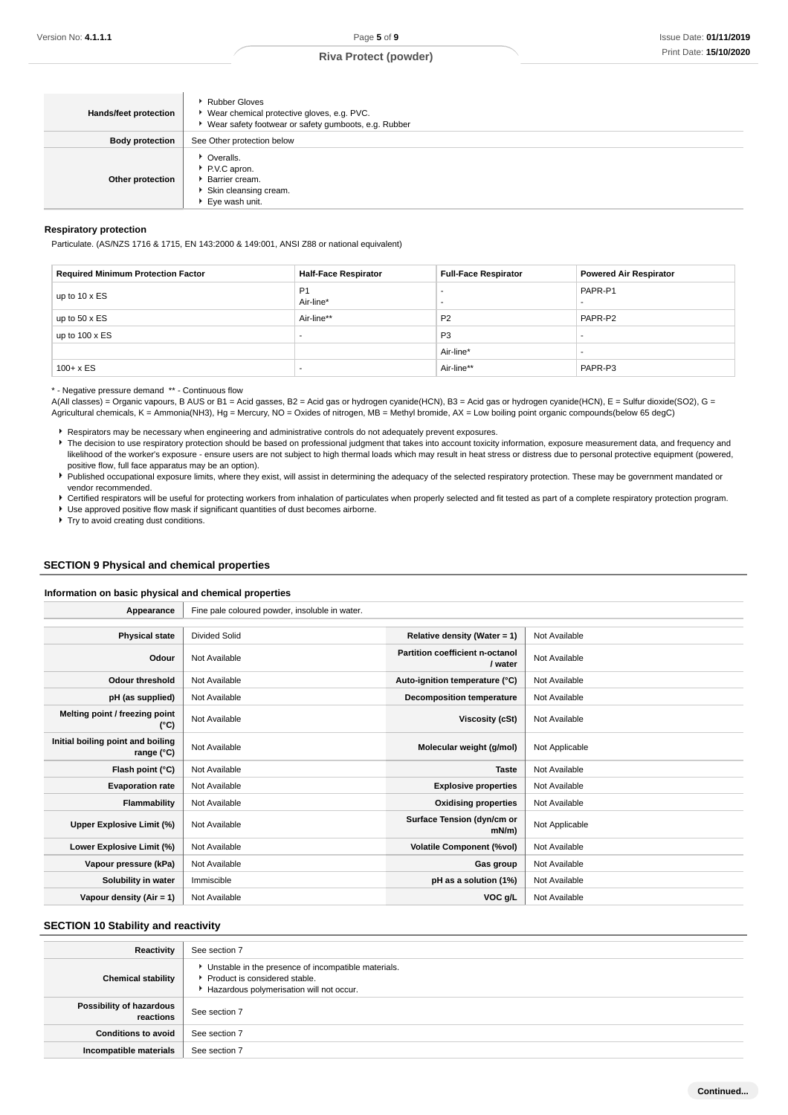| <b>Hands/feet protection</b> | <b>Rubber Gloves</b><br>▶ Wear chemical protective gloves, e.g. PVC.<br>▶ Wear safety footwear or safety gumboots, e.g. Rubber |
|------------------------------|--------------------------------------------------------------------------------------------------------------------------------|
| <b>Body protection</b>       | See Other protection below                                                                                                     |
| Other protection             | • Overalls.<br>P.V.C apron.<br>▶ Barrier cream.<br>Skin cleansing cream.<br>Eye wash unit.                                     |

#### **Respiratory protection**

Particulate. (AS/NZS 1716 & 1715, EN 143:2000 & 149:001, ANSI Z88 or national equivalent)

| <b>Required Minimum Protection Factor</b> | <b>Half-Face Respirator</b> | <b>Full-Face Respirator</b> | <b>Powered Air Respirator</b> |
|-------------------------------------------|-----------------------------|-----------------------------|-------------------------------|
| up to $10 \times ES$                      | P <sub>1</sub><br>Air-line* |                             | PAPR-P1                       |
| up to $50 \times ES$                      | Air-line**                  | P <sub>2</sub>              | PAPR-P2                       |
| up to $100 \times ES$                     |                             | P <sub>3</sub>              |                               |
|                                           |                             | Air-line*                   |                               |
| $100 + x ES$                              | . .                         | Air-line**                  | PAPR-P3                       |

\* - Negative pressure demand \*\* - Continuous flow

A(All classes) = Organic vapours, B AUS or B1 = Acid gasses, B2 = Acid gas or hydrogen cyanide(HCN), B3 = Acid gas or hydrogen cyanide(HCN), E = Sulfur dioxide(SO2), G = Agricultural chemicals, K = Ammonia(NH3), Hg = Mercury, NO = Oxides of nitrogen, MB = Methyl bromide, AX = Low boiling point organic compounds(below 65 degC)

Respirators may be necessary when engineering and administrative controls do not adequately prevent exposures.

The decision to use respiratory protection should be based on professional judgment that takes into account toxicity information, exposure measurement data, and frequency and likelihood of the worker's exposure - ensure users are not subject to high thermal loads which may result in heat stress or distress due to personal protective equipment (powered, positive flow, full face apparatus may be an option).

Published occupational exposure limits, where they exist, will assist in determining the adequacy of the selected respiratory protection. These may be government mandated or vendor recommended.

Certified respirators will be useful for protecting workers from inhalation of particulates when properly selected and fit tested as part of a complete respiratory protection program. Use approved positive flow mask if significant quantities of dust becomes airborne.

**Try to avoid creating dust conditions.** 

#### **SECTION 9 Physical and chemical properties**

#### **Information on basic physical and chemical properties**

| Appearance                                      | Fine pale coloured powder, insoluble in water. |                                            |                |
|-------------------------------------------------|------------------------------------------------|--------------------------------------------|----------------|
|                                                 |                                                |                                            |                |
| <b>Physical state</b>                           | <b>Divided Solid</b>                           | Relative density (Water = $1$ )            | Not Available  |
| Odour                                           | Not Available                                  | Partition coefficient n-octanol<br>/ water | Not Available  |
| <b>Odour threshold</b>                          | Not Available                                  | Auto-ignition temperature (°C)             | Not Available  |
| pH (as supplied)                                | Not Available                                  | <b>Decomposition temperature</b>           | Not Available  |
| Melting point / freezing point<br>(°C)          | Not Available                                  | <b>Viscosity (cSt)</b>                     | Not Available  |
| Initial boiling point and boiling<br>range (°C) | Not Available                                  | Molecular weight (g/mol)                   | Not Applicable |
| Flash point (°C)                                | Not Available                                  | <b>Taste</b>                               | Not Available  |
| <b>Evaporation rate</b>                         | Not Available                                  | <b>Explosive properties</b>                | Not Available  |
| <b>Flammability</b>                             | Not Available                                  | <b>Oxidising properties</b>                | Not Available  |
| Upper Explosive Limit (%)                       | Not Available                                  | Surface Tension (dyn/cm or<br>$mN/m$ )     | Not Applicable |
| Lower Explosive Limit (%)                       | Not Available                                  | <b>Volatile Component (%vol)</b>           | Not Available  |
| Vapour pressure (kPa)                           | Not Available                                  | Gas group                                  | Not Available  |
| Solubility in water                             | Immiscible                                     | pH as a solution (1%)                      | Not Available  |
| Vapour density $(Air = 1)$                      | Not Available                                  | VOC g/L                                    | Not Available  |

#### **SECTION 10 Stability and reactivity**

| Reactivity                            | See section 7                                                                                                                      |
|---------------------------------------|------------------------------------------------------------------------------------------------------------------------------------|
| <b>Chemical stability</b>             | • Unstable in the presence of incompatible materials.<br>Product is considered stable.<br>Hazardous polymerisation will not occur. |
| Possibility of hazardous<br>reactions | See section 7                                                                                                                      |
| <b>Conditions to avoid</b>            | See section 7                                                                                                                      |
| Incompatible materials                | See section 7                                                                                                                      |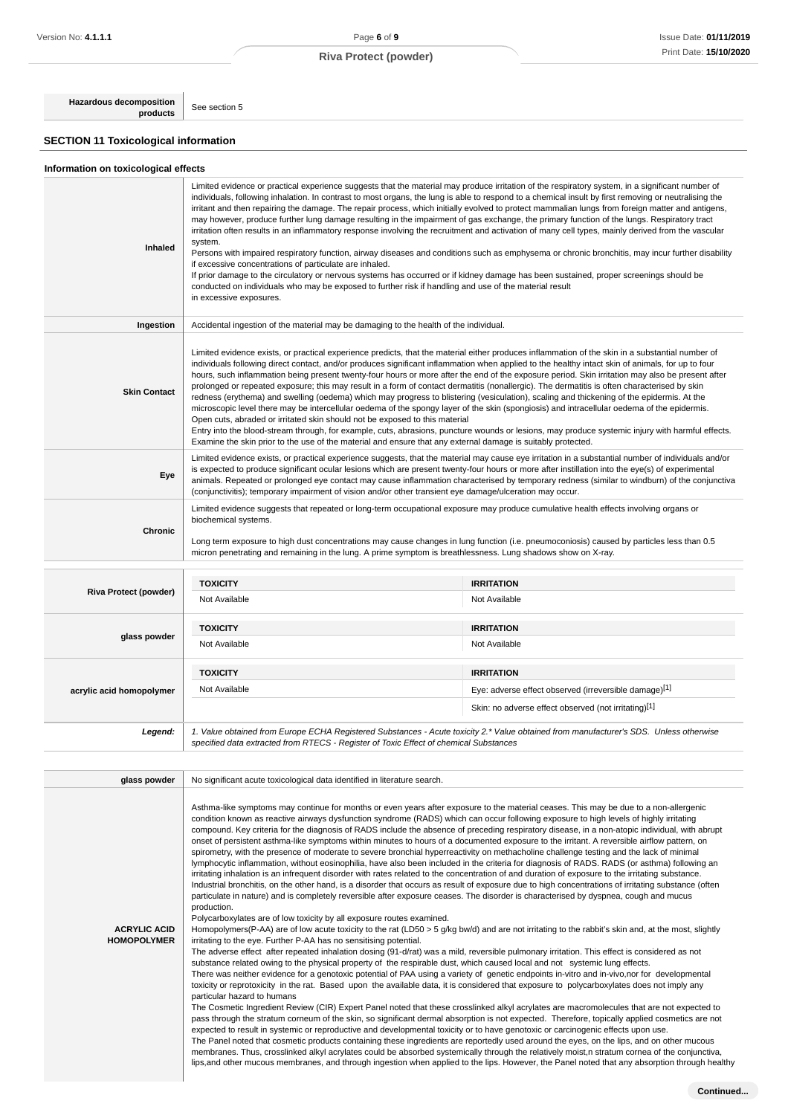**Hazardous decomposition**

**SECTION 11 Toxicological information**

See section 5

| Information on toxicological effects |  |  |
|--------------------------------------|--|--|
|--------------------------------------|--|--|

| Inhaled                                   | Limited evidence or practical experience suggests that the material may produce irritation of the respiratory system, in a significant number of<br>individuals, following inhalation. In contrast to most organs, the lung is able to respond to a chemical insult by first removing or neutralising the<br>irritant and then repairing the damage. The repair process, which initially evolved to protect mammalian lungs from foreign matter and antigens,<br>may however, produce further lung damage resulting in the impairment of gas exchange, the primary function of the lungs. Respiratory tract<br>irritation often results in an inflammatory response involving the recruitment and activation of many cell types, mainly derived from the vascular<br>system.<br>Persons with impaired respiratory function, airway diseases and conditions such as emphysema or chronic bronchitis, may incur further disability<br>if excessive concentrations of particulate are inhaled.<br>If prior damage to the circulatory or nervous systems has occurred or if kidney damage has been sustained, proper screenings should be<br>conducted on individuals who may be exposed to further risk if handling and use of the material result<br>in excessive exposures.                                                                                                                                                                                                                                                                                                                                                                                                                                                                                                                                                                                                                                                                                                                                                                                                                                                                                                                                                                                                                                                                                                                                                                                                                                                                                                                                                                                                                        |                                                       |  |
|-------------------------------------------|---------------------------------------------------------------------------------------------------------------------------------------------------------------------------------------------------------------------------------------------------------------------------------------------------------------------------------------------------------------------------------------------------------------------------------------------------------------------------------------------------------------------------------------------------------------------------------------------------------------------------------------------------------------------------------------------------------------------------------------------------------------------------------------------------------------------------------------------------------------------------------------------------------------------------------------------------------------------------------------------------------------------------------------------------------------------------------------------------------------------------------------------------------------------------------------------------------------------------------------------------------------------------------------------------------------------------------------------------------------------------------------------------------------------------------------------------------------------------------------------------------------------------------------------------------------------------------------------------------------------------------------------------------------------------------------------------------------------------------------------------------------------------------------------------------------------------------------------------------------------------------------------------------------------------------------------------------------------------------------------------------------------------------------------------------------------------------------------------------------------------------------------------------------------------------------------------------------------------------------------------------------------------------------------------------------------------------------------------------------------------------------------------------------------------------------------------------------------------------------------------------------------------------------------------------------------------------------------------------------------------------------------------------------------------------------------------|-------------------------------------------------------|--|
| Ingestion                                 | Accidental ingestion of the material may be damaging to the health of the individual.                                                                                                                                                                                                                                                                                                                                                                                                                                                                                                                                                                                                                                                                                                                                                                                                                                                                                                                                                                                                                                                                                                                                                                                                                                                                                                                                                                                                                                                                                                                                                                                                                                                                                                                                                                                                                                                                                                                                                                                                                                                                                                                                                                                                                                                                                                                                                                                                                                                                                                                                                                                                             |                                                       |  |
| <b>Skin Contact</b>                       | Limited evidence exists, or practical experience predicts, that the material either produces inflammation of the skin in a substantial number of<br>individuals following direct contact, and/or produces significant inflammation when applied to the healthy intact skin of animals, for up to four<br>hours, such inflammation being present twenty-four hours or more after the end of the exposure period. Skin irritation may also be present after<br>prolonged or repeated exposure; this may result in a form of contact dermatitis (nonallergic). The dermatitis is often characterised by skin<br>redness (erythema) and swelling (oedema) which may progress to blistering (vesiculation), scaling and thickening of the epidermis. At the<br>microscopic level there may be intercellular oedema of the spongy layer of the skin (spongiosis) and intracellular oedema of the epidermis.<br>Open cuts, abraded or irritated skin should not be exposed to this material<br>Entry into the blood-stream through, for example, cuts, abrasions, puncture wounds or lesions, may produce systemic injury with harmful effects.<br>Examine the skin prior to the use of the material and ensure that any external damage is suitably protected.                                                                                                                                                                                                                                                                                                                                                                                                                                                                                                                                                                                                                                                                                                                                                                                                                                                                                                                                                                                                                                                                                                                                                                                                                                                                                                                                                                                                                                          |                                                       |  |
| Eye                                       | Limited evidence exists, or practical experience suggests, that the material may cause eye irritation in a substantial number of individuals and/or<br>is expected to produce significant ocular lesions which are present twenty-four hours or more after instillation into the eye(s) of experimental<br>animals. Repeated or prolonged eye contact may cause inflammation characterised by temporary redness (similar to windburn) of the conjunctiva<br>(conjunctivitis); temporary impairment of vision and/or other transient eye damage/ulceration may occur.                                                                                                                                                                                                                                                                                                                                                                                                                                                                                                                                                                                                                                                                                                                                                                                                                                                                                                                                                                                                                                                                                                                                                                                                                                                                                                                                                                                                                                                                                                                                                                                                                                                                                                                                                                                                                                                                                                                                                                                                                                                                                                                              |                                                       |  |
| Chronic                                   | Limited evidence suggests that repeated or long-term occupational exposure may produce cumulative health effects involving organs or<br>biochemical systems.<br>Long term exposure to high dust concentrations may cause changes in lung function (i.e. pneumoconiosis) caused by particles less than 0.5<br>micron penetrating and remaining in the lung. A prime symptom is breathlessness. Lung shadows show on X-ray.                                                                                                                                                                                                                                                                                                                                                                                                                                                                                                                                                                                                                                                                                                                                                                                                                                                                                                                                                                                                                                                                                                                                                                                                                                                                                                                                                                                                                                                                                                                                                                                                                                                                                                                                                                                                                                                                                                                                                                                                                                                                                                                                                                                                                                                                         |                                                       |  |
|                                           |                                                                                                                                                                                                                                                                                                                                                                                                                                                                                                                                                                                                                                                                                                                                                                                                                                                                                                                                                                                                                                                                                                                                                                                                                                                                                                                                                                                                                                                                                                                                                                                                                                                                                                                                                                                                                                                                                                                                                                                                                                                                                                                                                                                                                                                                                                                                                                                                                                                                                                                                                                                                                                                                                                   |                                                       |  |
| <b>Riva Protect (powder)</b>              | <b>TOXICITY</b><br>Not Available                                                                                                                                                                                                                                                                                                                                                                                                                                                                                                                                                                                                                                                                                                                                                                                                                                                                                                                                                                                                                                                                                                                                                                                                                                                                                                                                                                                                                                                                                                                                                                                                                                                                                                                                                                                                                                                                                                                                                                                                                                                                                                                                                                                                                                                                                                                                                                                                                                                                                                                                                                                                                                                                  | <b>IRRITATION</b><br>Not Available                    |  |
|                                           | <b>TOXICITY</b>                                                                                                                                                                                                                                                                                                                                                                                                                                                                                                                                                                                                                                                                                                                                                                                                                                                                                                                                                                                                                                                                                                                                                                                                                                                                                                                                                                                                                                                                                                                                                                                                                                                                                                                                                                                                                                                                                                                                                                                                                                                                                                                                                                                                                                                                                                                                                                                                                                                                                                                                                                                                                                                                                   | <b>IRRITATION</b>                                     |  |
| glass powder                              | Not Available                                                                                                                                                                                                                                                                                                                                                                                                                                                                                                                                                                                                                                                                                                                                                                                                                                                                                                                                                                                                                                                                                                                                                                                                                                                                                                                                                                                                                                                                                                                                                                                                                                                                                                                                                                                                                                                                                                                                                                                                                                                                                                                                                                                                                                                                                                                                                                                                                                                                                                                                                                                                                                                                                     | Not Available                                         |  |
|                                           | <b>TOXICITY</b>                                                                                                                                                                                                                                                                                                                                                                                                                                                                                                                                                                                                                                                                                                                                                                                                                                                                                                                                                                                                                                                                                                                                                                                                                                                                                                                                                                                                                                                                                                                                                                                                                                                                                                                                                                                                                                                                                                                                                                                                                                                                                                                                                                                                                                                                                                                                                                                                                                                                                                                                                                                                                                                                                   | <b>IRRITATION</b>                                     |  |
| acrylic acid homopolymer                  | Not Available                                                                                                                                                                                                                                                                                                                                                                                                                                                                                                                                                                                                                                                                                                                                                                                                                                                                                                                                                                                                                                                                                                                                                                                                                                                                                                                                                                                                                                                                                                                                                                                                                                                                                                                                                                                                                                                                                                                                                                                                                                                                                                                                                                                                                                                                                                                                                                                                                                                                                                                                                                                                                                                                                     | Eye: adverse effect observed (irreversible damage)[1] |  |
|                                           |                                                                                                                                                                                                                                                                                                                                                                                                                                                                                                                                                                                                                                                                                                                                                                                                                                                                                                                                                                                                                                                                                                                                                                                                                                                                                                                                                                                                                                                                                                                                                                                                                                                                                                                                                                                                                                                                                                                                                                                                                                                                                                                                                                                                                                                                                                                                                                                                                                                                                                                                                                                                                                                                                                   | Skin: no adverse effect observed (not irritating)[1]  |  |
| Legend:                                   | 1. Value obtained from Europe ECHA Registered Substances - Acute toxicity 2.* Value obtained from manufacturer's SDS. Unless otherwise<br>specified data extracted from RTECS - Register of Toxic Effect of chemical Substances                                                                                                                                                                                                                                                                                                                                                                                                                                                                                                                                                                                                                                                                                                                                                                                                                                                                                                                                                                                                                                                                                                                                                                                                                                                                                                                                                                                                                                                                                                                                                                                                                                                                                                                                                                                                                                                                                                                                                                                                                                                                                                                                                                                                                                                                                                                                                                                                                                                                   |                                                       |  |
| glass powder                              | No significant acute toxicological data identified in literature search.                                                                                                                                                                                                                                                                                                                                                                                                                                                                                                                                                                                                                                                                                                                                                                                                                                                                                                                                                                                                                                                                                                                                                                                                                                                                                                                                                                                                                                                                                                                                                                                                                                                                                                                                                                                                                                                                                                                                                                                                                                                                                                                                                                                                                                                                                                                                                                                                                                                                                                                                                                                                                          |                                                       |  |
| <b>ACRYLIC ACID</b><br><b>HOMOPOLYMER</b> | Asthma-like symptoms may continue for months or even years after exposure to the material ceases. This may be due to a non-allergenic<br>condition known as reactive airways dysfunction syndrome (RADS) which can occur following exposure to high levels of highly irritating<br>compound. Key criteria for the diagnosis of RADS include the absence of preceding respiratory disease, in a non-atopic individual, with abrupt<br>onset of persistent asthma-like symptoms within minutes to hours of a documented exposure to the irritant. A reversible airflow pattern, on<br>spirometry, with the presence of moderate to severe bronchial hyperreactivity on methacholine challenge testing and the lack of minimal<br>lymphocytic inflammation, without eosinophilia, have also been included in the criteria for diagnosis of RADS. RADS (or asthma) following an<br>irritating inhalation is an infrequent disorder with rates related to the concentration of and duration of exposure to the irritating substance.<br>Industrial bronchitis, on the other hand, is a disorder that occurs as result of exposure due to high concentrations of irritating substance (often<br>particulate in nature) and is completely reversible after exposure ceases. The disorder is characterised by dyspnea, cough and mucus<br>production.<br>Polycarboxylates are of low toxicity by all exposure routes examined.<br>Homopolymers(P-AA) are of low acute toxicity to the rat (LD50 > 5 g/kg bw/d) and are not irritating to the rabbit's skin and, at the most, slightly<br>irritating to the eye. Further P-AA has no sensitising potential.<br>The adverse effect after repeated inhalation dosing (91-d/rat) was a mild, reversible pulmonary irritation. This effect is considered as not<br>substance related owing to the physical property of the respirable dust, which caused local and not systemic lung effects.<br>There was neither evidence for a genotoxic potential of PAA using a variety of genetic endpoints in-vitro and in-vivo, nor for developmental<br>toxicity or reprotoxicity in the rat. Based upon the available data, it is considered that exposure to polycarboxylates does not imply any<br>particular hazard to humans<br>The Cosmetic Ingredient Review (CIR) Expert Panel noted that these crosslinked alkyl acrylates are macromolecules that are not expected to<br>pass through the stratum corneum of the skin, so significant dermal absorption is not expected. Therefore, topically applied cosmetics are not<br>expected to result in systemic or reproductive and developmental toxicity or to have genotoxic or carcinogenic effects upon use. |                                                       |  |

The Panel noted that cosmetic products containing these ingredients are reportedly used around the eyes, on the lips, and on other mucous membranes. Thus, crosslinked alkyl acrylates could be absorbed systemically through the relatively moist,n stratum cornea of the conjunctiva, lips,and other mucous membranes, and through ingestion when applied to the lips. However, the Panel noted that any absorption through healthy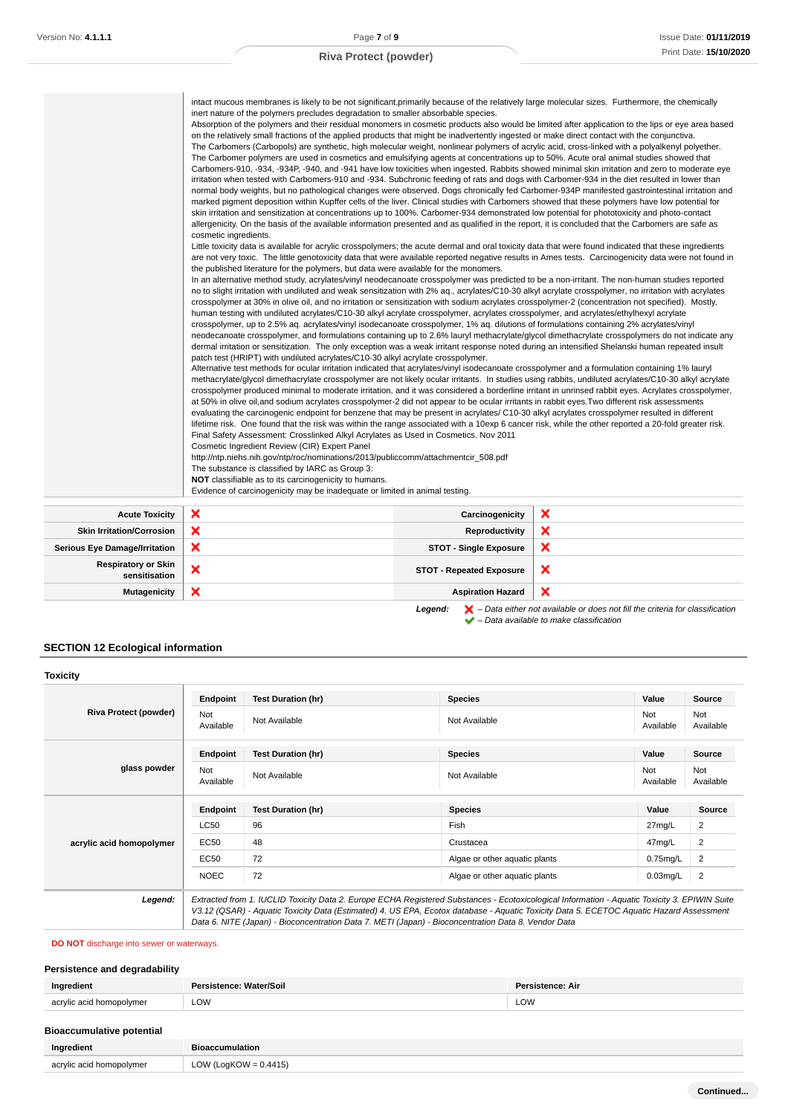|                                             | intact mucous membranes is likely to be not significant, primarily because of the relatively large molecular sizes. Furthermore, the chemically<br>inert nature of the polymers precludes degradation to smaller absorbable species.<br>Absorption of the polymers and their residual monomers in cosmetic products also would be limited after application to the lips or eye area based<br>on the relatively small fractions of the applied products that might be inadvertently ingested or make direct contact with the conjunctiva.<br>The Carbomers (Carbopols) are synthetic, high molecular weight, nonlinear polymers of acrylic acid, cross-linked with a polyalkenyl polyether.<br>The Carbomer polymers are used in cosmetics and emulsifying agents at concentrations up to 50%. Acute oral animal studies showed that<br>Carbomers-910, -934, -934P, -940, and -941 have low toxicities when ingested. Rabbits showed minimal skin irritation and zero to moderate eye<br>irritation when tested with Carbomers-910 and -934. Subchronic feeding of rats and dogs with Carbomer-934 in the diet resulted in lower than<br>normal body weights, but no pathological changes were observed. Dogs chronically fed Carbomer-934P manifested gastrointestinal irritation and<br>marked pigment deposition within Kupffer cells of the liver. Clinical studies with Carbomers showed that these polymers have low potential for<br>skin irritation and sensitization at concentrations up to 100%. Carbomer-934 demonstrated low potential for phototoxicity and photo-contact<br>allergenicity. On the basis of the available information presented and as qualified in the report, it is concluded that the Carbomers are safe as<br>cosmetic ingredients.<br>Little toxicity data is available for acrylic crosspolymers; the acute dermal and oral toxicity data that were found indicated that these ingredients<br>the published literature for the polymers, but data were available for the monomers.<br>In an alternative method study, acrylates/vinyl neodecanoate crosspolymer was predicted to be a non-irritant. The non-human studies reported<br>no to slight irritation with undiluted and weak sensitization with 2% aq., acrylates/C10-30 alkyl acrylate crosspolymer, no irritation with acrylates<br>crosspolymer at 30% in olive oil, and no irritation or sensitization with sodium acrylates crosspolymer-2 (concentration not specified). Mostly,<br>human testing with undiluted acrylates/C10-30 alkyl acrylate crosspolymer, acrylates crosspolymer, and acrylates/ethylhexyl acrylate<br>crosspolymer, up to 2.5% aq. acrylates/vinyl isodecanoate crosspolymer, 1% aq. dilutions of formulations containing 2% acrylates/vinyl<br>neodecanoate crosspolymer, and formulations containing up to 2.6% lauryl methacrylate/glycol dimethacrylate crosspolymers do not indicate any<br>dermal irritation or sensitization. The only exception was a weak irritant response noted during an intensified Shelanski human repeated insult<br>patch test (HRIPT) with undiluted acrylates/C10-30 alkyl acrylate crosspolymer.<br>Alternative test methods for ocular irritation indicated that acrylates/vinyl isodecanoate crosspolymer and a formulation containing 1% lauryl<br>methacrylate/glycol dimethacrylate crosspolymer are not likely ocular irritants. In studies using rabbits, undiluted acrylates/C10-30 alkyl acrylate<br>crosspolymer produced minimal to moderate irritation, and it was considered a borderline irritant in unrinsed rabbit eyes. Acrylates crosspolymer,<br>at 50% in olive oil, and sodium acrylates crosspolymer-2 did not appear to be ocular irritants in rabbit eyes. Two different risk assessments<br>evaluating the carcinogenic endpoint for benzene that may be present in acrylates/C10-30 alkyl acrylates crosspolymer resulted in different<br>lifetime risk. One found that the risk was within the range associated with a 10exp 6 cancer risk, while the other reported a 20-fold greater risk.<br>Final Safety Assessment: Crosslinked Alkyl Acrylates as Used in Cosmetics. Nov 2011<br>Cosmetic Ingredient Review (CIR) Expert Panel<br>http://ntp.niehs.nih.gov/ntp/roc/nominations/2013/publiccomm/attachmentcir_508.pdf<br>The substance is classified by IARC as Group 3:<br>NOT classifiable as to its carcinogenicity to humans.<br>Evidence of carcinogenicity may be inadequate or limited in animal testing. |                                 | are not very toxic. The little genotoxicity data that were available reported negative results in Ames tests. Carcinogenicity data were not found in |
|---------------------------------------------|-------------------------------------------------------------------------------------------------------------------------------------------------------------------------------------------------------------------------------------------------------------------------------------------------------------------------------------------------------------------------------------------------------------------------------------------------------------------------------------------------------------------------------------------------------------------------------------------------------------------------------------------------------------------------------------------------------------------------------------------------------------------------------------------------------------------------------------------------------------------------------------------------------------------------------------------------------------------------------------------------------------------------------------------------------------------------------------------------------------------------------------------------------------------------------------------------------------------------------------------------------------------------------------------------------------------------------------------------------------------------------------------------------------------------------------------------------------------------------------------------------------------------------------------------------------------------------------------------------------------------------------------------------------------------------------------------------------------------------------------------------------------------------------------------------------------------------------------------------------------------------------------------------------------------------------------------------------------------------------------------------------------------------------------------------------------------------------------------------------------------------------------------------------------------------------------------------------------------------------------------------------------------------------------------------------------------------------------------------------------------------------------------------------------------------------------------------------------------------------------------------------------------------------------------------------------------------------------------------------------------------------------------------------------------------------------------------------------------------------------------------------------------------------------------------------------------------------------------------------------------------------------------------------------------------------------------------------------------------------------------------------------------------------------------------------------------------------------------------------------------------------------------------------------------------------------------------------------------------------------------------------------------------------------------------------------------------------------------------------------------------------------------------------------------------------------------------------------------------------------------------------------------------------------------------------------------------------------------------------------------------------------------------------------------------------------------------------------------------------------------------------------------------------------------------------------------------------------------------------------------------------------------------------------------------------------------------------------------------------------------------------------------------------------------------------------------------------------------------------------------------------------------------------------------------------------------------------------------------------------------------------------------------------------------------------------------------------------------------------------------------------------------------------------------------------------------------------------------------------------------------------|---------------------------------|------------------------------------------------------------------------------------------------------------------------------------------------------|
|                                             |                                                                                                                                                                                                                                                                                                                                                                                                                                                                                                                                                                                                                                                                                                                                                                                                                                                                                                                                                                                                                                                                                                                                                                                                                                                                                                                                                                                                                                                                                                                                                                                                                                                                                                                                                                                                                                                                                                                                                                                                                                                                                                                                                                                                                                                                                                                                                                                                                                                                                                                                                                                                                                                                                                                                                                                                                                                                                                                                                                                                                                                                                                                                                                                                                                                                                                                                                                                                                                                                                                                                                                                                                                                                                                                                                                                                                                                                                                                                                                                                                                                                                                                                                                                                                                                                                                                                                                                                                                                                                                             |                                 |                                                                                                                                                      |
| <b>Acute Toxicity</b>                       | ×                                                                                                                                                                                                                                                                                                                                                                                                                                                                                                                                                                                                                                                                                                                                                                                                                                                                                                                                                                                                                                                                                                                                                                                                                                                                                                                                                                                                                                                                                                                                                                                                                                                                                                                                                                                                                                                                                                                                                                                                                                                                                                                                                                                                                                                                                                                                                                                                                                                                                                                                                                                                                                                                                                                                                                                                                                                                                                                                                                                                                                                                                                                                                                                                                                                                                                                                                                                                                                                                                                                                                                                                                                                                                                                                                                                                                                                                                                                                                                                                                                                                                                                                                                                                                                                                                                                                                                                                                                                                                                           | Carcinogenicity                 | ×                                                                                                                                                    |
| <b>Skin Irritation/Corrosion</b>            | ×                                                                                                                                                                                                                                                                                                                                                                                                                                                                                                                                                                                                                                                                                                                                                                                                                                                                                                                                                                                                                                                                                                                                                                                                                                                                                                                                                                                                                                                                                                                                                                                                                                                                                                                                                                                                                                                                                                                                                                                                                                                                                                                                                                                                                                                                                                                                                                                                                                                                                                                                                                                                                                                                                                                                                                                                                                                                                                                                                                                                                                                                                                                                                                                                                                                                                                                                                                                                                                                                                                                                                                                                                                                                                                                                                                                                                                                                                                                                                                                                                                                                                                                                                                                                                                                                                                                                                                                                                                                                                                           | Reproductivity                  | ×                                                                                                                                                    |
| <b>Serious Eye Damage/Irritation</b>        | ×                                                                                                                                                                                                                                                                                                                                                                                                                                                                                                                                                                                                                                                                                                                                                                                                                                                                                                                                                                                                                                                                                                                                                                                                                                                                                                                                                                                                                                                                                                                                                                                                                                                                                                                                                                                                                                                                                                                                                                                                                                                                                                                                                                                                                                                                                                                                                                                                                                                                                                                                                                                                                                                                                                                                                                                                                                                                                                                                                                                                                                                                                                                                                                                                                                                                                                                                                                                                                                                                                                                                                                                                                                                                                                                                                                                                                                                                                                                                                                                                                                                                                                                                                                                                                                                                                                                                                                                                                                                                                                           | <b>STOT - Single Exposure</b>   | ×                                                                                                                                                    |
| <b>Respiratory or Skin</b><br>sensitisation | ×                                                                                                                                                                                                                                                                                                                                                                                                                                                                                                                                                                                                                                                                                                                                                                                                                                                                                                                                                                                                                                                                                                                                                                                                                                                                                                                                                                                                                                                                                                                                                                                                                                                                                                                                                                                                                                                                                                                                                                                                                                                                                                                                                                                                                                                                                                                                                                                                                                                                                                                                                                                                                                                                                                                                                                                                                                                                                                                                                                                                                                                                                                                                                                                                                                                                                                                                                                                                                                                                                                                                                                                                                                                                                                                                                                                                                                                                                                                                                                                                                                                                                                                                                                                                                                                                                                                                                                                                                                                                                                           | <b>STOT - Repeated Exposure</b> | ×                                                                                                                                                    |

**Mutagenicity X** Aspiration Hazard

Legend:  $\blacktriangleright$  - Data either not available or does not fill the criteria for classification  $\blacktriangleright$  – Data available to make classification

 $\overline{\mathbf{x}}$ 

# **SECTION 12 Ecological information**

| <b>Toxicity</b>              |                  |                                                                                                                                                                                                                                                                                                                                                                                                 |                               |                  |                  |
|------------------------------|------------------|-------------------------------------------------------------------------------------------------------------------------------------------------------------------------------------------------------------------------------------------------------------------------------------------------------------------------------------------------------------------------------------------------|-------------------------------|------------------|------------------|
|                              | Endpoint         | <b>Test Duration (hr)</b>                                                                                                                                                                                                                                                                                                                                                                       | <b>Species</b>                | Value            | Source           |
| <b>Riva Protect (powder)</b> | Not<br>Available | Not Available                                                                                                                                                                                                                                                                                                                                                                                   | Not Available                 | Not<br>Available | Not<br>Available |
|                              | Endpoint         | <b>Test Duration (hr)</b>                                                                                                                                                                                                                                                                                                                                                                       | <b>Species</b>                | Value            | <b>Source</b>    |
| glass powder                 | Not<br>Available | Not Available                                                                                                                                                                                                                                                                                                                                                                                   | Not Available                 | Not<br>Available | Not<br>Available |
|                              | Endpoint         | <b>Test Duration (hr)</b>                                                                                                                                                                                                                                                                                                                                                                       | <b>Species</b>                | Value            | <b>Source</b>    |
|                              | <b>LC50</b>      | 96                                                                                                                                                                                                                                                                                                                                                                                              | Fish                          | 27mg/L           | $\overline{2}$   |
| acrylic acid homopolymer     | EC50             | 48                                                                                                                                                                                                                                                                                                                                                                                              | Crustacea                     | 47mg/L           | $\overline{2}$   |
|                              | <b>EC50</b>      | 72                                                                                                                                                                                                                                                                                                                                                                                              | Algae or other aquatic plants | $0.75$ mg/L      | 2                |
|                              | <b>NOEC</b>      | 72                                                                                                                                                                                                                                                                                                                                                                                              | Algae or other aquatic plants | $0.03$ mg/L      | $\overline{2}$   |
| Legend:                      |                  | Extracted from 1. IUCLID Toxicity Data 2. Europe ECHA Registered Substances - Ecotoxicological Information - Aquatic Toxicity 3. EPIWIN Suite<br>V3.12 (QSAR) - Aquatic Toxicity Data (Estimated) 4. US EPA, Ecotox database - Aquatic Toxicity Data 5. ECETOC Aquatic Hazard Assessment<br>Data 6. NITE (Japan) - Bioconcentration Data 7. METI (Japan) - Bioconcentration Data 8. Vendor Data |                               |                  |                  |

**DO NOT** discharge into sewer or waterways.

#### **Persistence and degradability**

| lna               | ioil | e: All |
|-------------------|------|--------|
| acry<br>$m\alpha$ | LOW  | LOW    |

# **Bioaccumulative potential**

| Ingredient               | <b>Bioaccumulation</b>             |
|--------------------------|------------------------------------|
| acrylic acid homopolymer | LOW (LogKOW = $0.4415$ )<br>$\sim$ |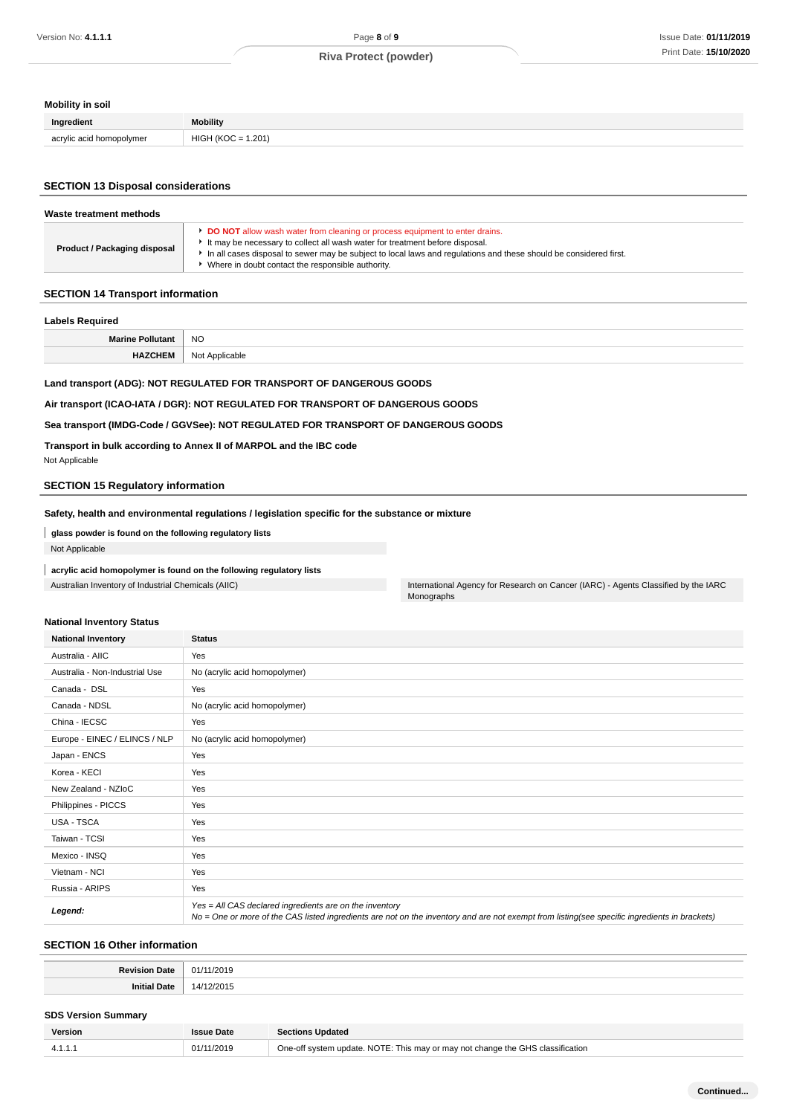# **Mobility in soil**

| Ingredient                         | <b>Mobility</b>                  |
|------------------------------------|----------------------------------|
| acrylic acid homopolymer<br>.<br>. | .201<br>$\overline{\phantom{a}}$ |

#### **SECTION 13 Disposal considerations**

| <b>DO NOT</b> allow wash water from cleaning or process equipment to enter drains.<br>It may be necessary to collect all wash water for treatment before disposal.       | Waste treatment methods      |  |
|--------------------------------------------------------------------------------------------------------------------------------------------------------------------------|------------------------------|--|
| In all cases disposal to sewer may be subject to local laws and regulations and these should be considered first.<br>• Where in doubt contact the responsible authority. | Product / Packaging disposal |  |

#### **SECTION 14 Transport information**

# **Labels Required Marine Pollutant** NO **HAZCHEM** Not Applicable

# **Land transport (ADG): NOT REGULATED FOR TRANSPORT OF DANGEROUS GOODS**

**Air transport (ICAO-IATA / DGR): NOT REGULATED FOR TRANSPORT OF DANGEROUS GOODS**

### **Sea transport (IMDG-Code / GGVSee): NOT REGULATED FOR TRANSPORT OF DANGEROUS GOODS**

**Transport in bulk according to Annex II of MARPOL and the IBC code**

Not Applicable

#### **SECTION 15 Regulatory information**

### **Safety, health and environmental regulations / legislation specific for the substance or mixture**

**glass powder is found on the following regulatory lists**

Not Applicable

### **acrylic acid homopolymer is found on the following regulatory lists**

Australian Inventory of Industrial Chemicals (AIIC) **International Agency for Research on Cancer (IARC)** - Agents Classified by the IARC Monographs

# **National Inventory Status**

| <b>National Inventory</b>      | <b>Status</b>                                                                                                                                                                                            |  |
|--------------------------------|----------------------------------------------------------------------------------------------------------------------------------------------------------------------------------------------------------|--|
| Australia - AIIC               | Yes                                                                                                                                                                                                      |  |
| Australia - Non-Industrial Use | No (acrylic acid homopolymer)                                                                                                                                                                            |  |
| Canada - DSL                   | Yes                                                                                                                                                                                                      |  |
| Canada - NDSL                  | No (acrylic acid homopolymer)                                                                                                                                                                            |  |
| China - IECSC                  | Yes                                                                                                                                                                                                      |  |
| Europe - EINEC / ELINCS / NLP  | No (acrylic acid homopolymer)                                                                                                                                                                            |  |
| Japan - ENCS                   | Yes                                                                                                                                                                                                      |  |
| Korea - KECI                   | Yes                                                                                                                                                                                                      |  |
| New Zealand - NZIoC            | Yes                                                                                                                                                                                                      |  |
| Philippines - PICCS            | Yes                                                                                                                                                                                                      |  |
| USA - TSCA                     | Yes                                                                                                                                                                                                      |  |
| Taiwan - TCSI                  | Yes                                                                                                                                                                                                      |  |
| Mexico - INSQ                  | Yes                                                                                                                                                                                                      |  |
| Vietnam - NCI                  | Yes                                                                                                                                                                                                      |  |
| Russia - ARIPS                 | Yes                                                                                                                                                                                                      |  |
| Legend:                        | Yes = All CAS declared ingredients are on the inventory<br>No = One or more of the CAS listed ingredients are not on the inventory and are not exempt from listing(see specific ingredients in brackets) |  |

#### **SECTION 16 Other information**

| <b>Revision Date</b> | 11/2019<br>01        |
|----------------------|----------------------|
| .<br>Date<br>Initia  | $\overline{ }$<br>∠∪ |

#### **SDS Version Summary**

| Version | Issue Date | <b>Sections Updated</b>                                                        |
|---------|------------|--------------------------------------------------------------------------------|
| 4.      | 01/11/2019 | One-off system update. NOTE: This may or may not change the GHS classification |